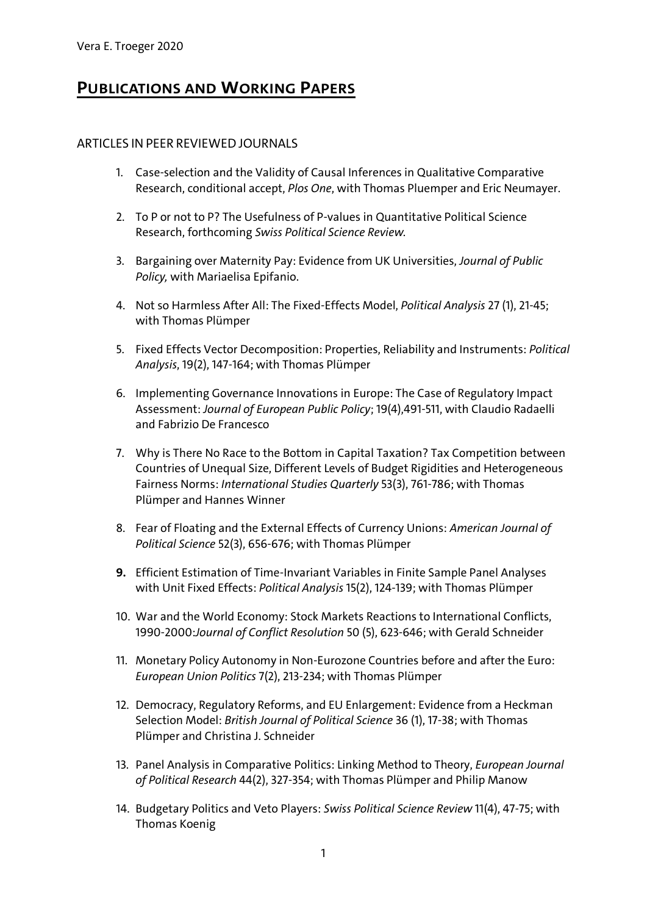## **PUBLICATIONS AND WORKING PAPERS**

## ARTICLES INPEER REVIEWED JOURNALS

- 1. Case-selection and the Validity of Causal Inferences in Qualitative Comparative Research, conditional accept, *Plos One*, with Thomas Pluemper and Eric Neumayer.
- 2. To P or not to P? The Usefulness of P-values in Quantitative Political Science Research, forthcoming *Swiss Political Science Review.*
- 3. Bargaining over Maternity Pay: Evidence from UK Universities, *Journal of Public Policy,* with Mariaelisa Epifanio.
- 4. Not so Harmless After All: The Fixed-Effects Model, *Political Analysis* 27 (1), 21-45; with Thomas Plümper
- 5. Fixed Effects Vector Decomposition: Properties, Reliability and Instruments: *Political Analysis*, 19(2), 147-164; with Thomas Plümper
- 6. Implementing Governance Innovations in Europe: The Case of Regulatory Impact Assessment: *Journal of European Public Policy*; 19(4),491-511, with Claudio Radaelli and Fabrizio De Francesco
- 7. Why is There No Race to the Bottom in Capital Taxation? Tax Competition between Countries of Unequal Size, Different Levels of Budget Rigidities and Heterogeneous Fairness Norms: *International Studies Quarterly* 53(3), 761-786; with Thomas Plümper and Hannes Winner
- 8. Fear of Floating and the External Effects of Currency Unions: *American Journal of Political Science* 52(3), 656-676; with Thomas Plümper
- **9.** Efficient Estimation of Time-Invariant Variables in Finite Sample Panel Analyses with Unit Fixed Effects: *Political Analysis* 15(2), 124-139; with Thomas Plümper
- 10. War and the World Economy: Stock Markets Reactions to International Conflicts, 1990-2000:*Journal of Conflict Resolution* 50 (5), 623-646; with Gerald Schneider
- 11. Monetary Policy Autonomy in Non-Eurozone Countries before and after the Euro: *European Union Politics* 7(2), 213-234; with Thomas Plümper
- 12. Democracy, Regulatory Reforms, and EU Enlargement: Evidence from a Heckman Selection Model: *British Journal of Political Science* 36 (1), 17-38; with Thomas Plümper and Christina J. Schneider
- 13. Panel Analysis in Comparative Politics: Linking Method to Theory, *European Journal of Political Research* 44(2), 327-354; with Thomas Plümper and Philip Manow
- 14. Budgetary Politics and Veto Players: *Swiss Political Science Review* 11(4), 47-75; with Thomas Koenig